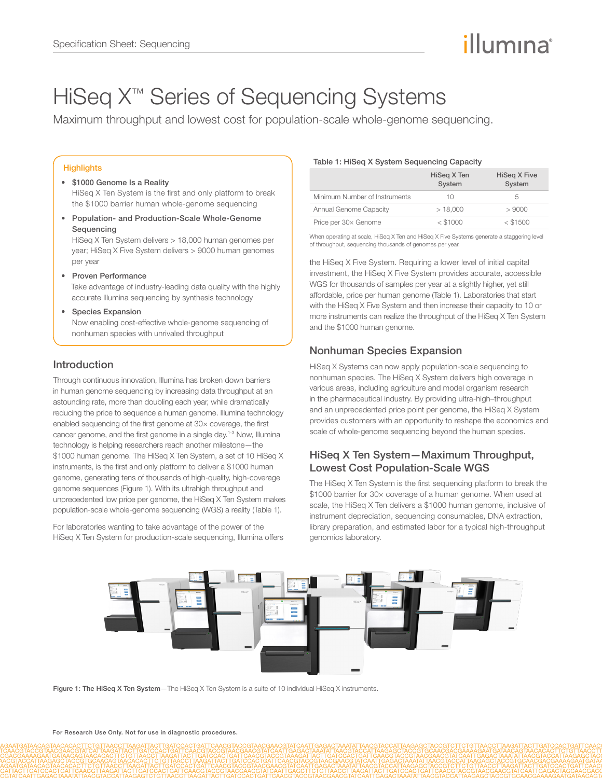# illumına

# HiSeq X<sup>™</sup> Series of Sequencing Systems

Maximum throughput and lowest cost for population-scale whole-genome sequencing.

#### **Highlights**

#### • \$1000 Genome Is a Reality HiSeq X Ten System is the first and only platform to break the \$1000 barrier human whole-genome sequencing

• Population- and Production-Scale Whole-Genome Sequencing

HiSeq X Ten System delivers > 18,000 human genomes per year; HiSeq X Five System delivers > 9000 human genomes per year

• Proven Performance

Take advantage of industry-leading data quality with the highly accurate Illumina sequencing by synthesis technology

#### • Species Expansion

Now enabling cost-effective whole-genome sequencing of nonhuman species with unrivaled throughput

# Introduction

Through continuous innovation, Illumina has broken down barriers in human genome sequencing by increasing data throughput at an astounding rate, more than doubling each year, while dramatically reducing the price to sequence a human genome. Illumina technology enabled sequencing of the first genome at 30× coverage, the first cancer genome, and the first genome in a single day.[1](#page-2-0)-[3](#page-2-1) Now, Illumina technology is helping researchers reach another milestone—the \$1000 human genome. The HiSeq X Ten System, a set of 10 HiSeq X instruments, is the first and only platform to deliver a \$1000 human genome, generating tens of thousands of high-quality, high-coverage genome sequences (Figure 1). With its ultrahigh throughput and unprecedented low price per genome, the HiSeq X Ten System makes population-scale whole-genome sequencing (WGS) a reality (Table 1).

For laboratories wanting to take advantage of the power of the HiSeq X Ten System for production-scale sequencing, Illumina offers

#### Table 1: HiSeq X System Sequencing Capacity

|                               | HiSeq X Ten<br>System | HiSeg X Five<br>System |
|-------------------------------|-----------------------|------------------------|
| Minimum Number of Instruments | 10                    | 5                      |
| Annual Genome Capacity        | >18,000               | >9000                  |
| Price per 30x Genome          | $<$ \$1000            | $<$ \$1500             |

When operating at scale, HiSeq X Ten and HiSeq X Five Systems generate a staggering level of throughput, sequencing thousands of genomes per year.

the HiSeq X Five System. Requiring a lower level of initial capital investment, the HiSeq X Five System provides accurate, accessible WGS for thousands of samples per year at a slightly higher, yet still affordable, price per human genome (Table 1). Laboratories that start with the HiSeq X Five System and then increase their capacity to 10 or more instruments can realize the throughput of the HiSeq X Ten System and the \$1000 human genome.

# Nonhuman Species Expansion

HiSeq X Systems can now apply population-scale sequencing to nonhuman species. The HiSeq X System delivers high coverage in various areas, including agriculture and model organism research in the pharmaceutical industry. By providing ultra-high–throughput and an unprecedented price point per genome, the HiSeq X System provides customers with an opportunity to reshape the economics and scale of whole-genome sequencing beyond the human species.

## HiSeq X Ten System—Maximum Throughput, Lowest Cost Population-Scale WGS

The HiSeq X Ten System is the first sequencing platform to break the \$1000 barrier for 30× coverage of a human genome. When used at scale, the HiSeq X Ten delivers a \$1000 human genome, inclusive of instrument depreciation, sequencing consumables, DNA extraction, library preparation, and estimated labor for a typical high-throughput genomics laboratory.



Figure 1: The HiSeq X Ten System-The HiSeq X Ten System is a suite of 10 individual HiSeq X instruments.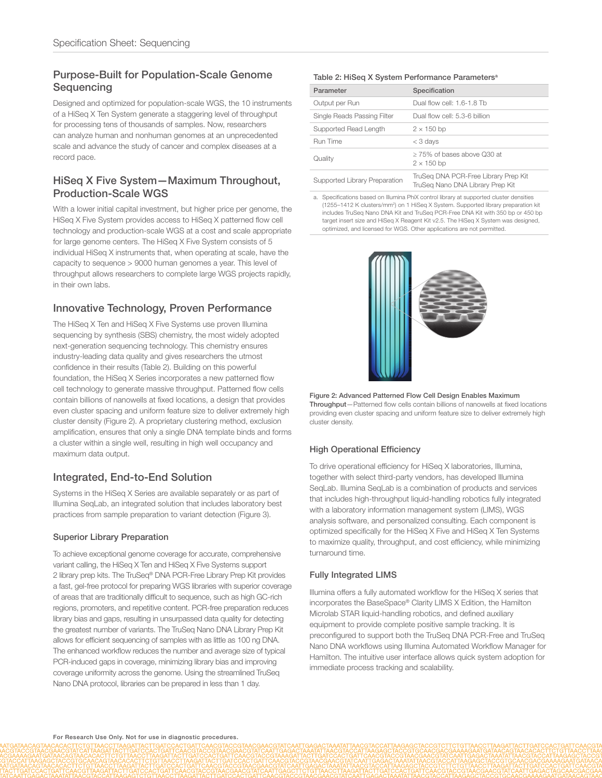# Purpose-Built for Population-Scale Genome **Sequencing**

Designed and optimized for population-scale WGS, the 10 instruments of a HiSeq X Ten System generate a staggering level of throughput for processing tens of thousands of samples. Now, researchers can analyze human and nonhuman genomes at an unprecedented scale and advance the study of cancer and complex diseases at a record pace.

## HiSeq X Five System—Maximum Throughout, Production-Scale WGS

With a lower initial capital investment, but higher price per genome, the HiSeq X Five System provides access to HiSeq X patterned flow cell technology and production-scale WGS at a cost and scale appropriate for large genome centers. The HiSeq X Five System consists of 5 individual HiSeq X instruments that, when operating at scale, have the capacity to sequence > 9000 human genomes a year. This level of throughput allows researchers to complete large WGS projects rapidly, in their own labs.

# Innovative Technology, Proven Performance

The HiSeq X Ten and HiSeq X Five Systems use proven Illumina sequencing by synthesis (SBS) chemistry, the most widely adopted next-generation sequencing technology. This chemistry ensures industry-leading data quality and gives researchers the utmost confidence in their results (Table 2). Building on this powerful foundation, the HiSeq X Series incorporates a new patterned flow cell technology to generate massive throughput. Patterned flow cells contain billions of nanowells at fixed locations, a design that provides even cluster spacing and uniform feature size to deliver extremely high cluster density (Figure 2). A proprietary clustering method, exclusion amplification, ensures that only a single DNA template binds and forms a cluster within a single well, resulting in high well occupancy and maximum data output.

# Integrated, End-to-End Solution

Systems in the HiSeq X Series are available separately or as part of Illumina SeqLab, an integrated solution that includes laboratory best practices from sample preparation to variant detection (Figure 3).

## Superior Library Preparation

To achieve exceptional genome coverage for accurate, comprehensive variant calling, the HiSeq X Ten and HiSeq X Five Systems support 2 library prep kits. The TruSeq® DNA PCR-Free Library Prep Kit provides a fast, gel-free protocol for preparing WGS libraries with superior coverage of areas that are traditionally difficult to sequence, such as high GC-rich regions, promoters, and repetitive content. PCR-free preparation reduces library bias and gaps, resulting in unsurpassed data quality for detecting the greatest number of variants. The TruSeq Nano DNA Library Prep Kit allows for efficient sequencing of samples with as little as 100 ng DNA. The enhanced workflow reduces the number and average size of typical PCR-induced gaps in coverage, minimizing library bias and improving coverage uniformity across the genome. Using the streamlined TruSeq Nano DNA protocol, libraries can be prepared in less than 1 day.

#### Table 2: HiSeq X System Performance Parameters<sup>a</sup>

| Parameter                     | Specification                                                            |
|-------------------------------|--------------------------------------------------------------------------|
| Output per Run                | Dual flow cell: 1.6-1.8 Tb                                               |
| Single Reads Passing Filter   | Dual flow cell: 5.3-6 billion                                            |
| Supported Read Length         | $2 \times 150$ bp                                                        |
| Run Time                      | $<$ 3 days                                                               |
| Quality                       | > 75% of bases above Q30 at<br>$2 \times 150$ bp                         |
| Supported Library Preparation | TruSeg DNA PCR-Free Library Prep Kit<br>TruSeg Nano DNA Library Prep Kit |

a. Specifications based on Illumina PhiX control library at supported cluster densities (1255–1412 K clusters/mm2 ) on 1 HiSeq X System. Supported library preparation kit includes TruSeq Nano DNA Kit and TruSeq PCR-Free DNA Kit with 350 bp or 450 bp target insert size and HiSeq X Reagent Kit v2.5. The HiSeq X System was designed, optimized, and licensed for WGS. Other applications are not permitted.



Figure 2: Advanced Patterned Flow Cell Design Enables Maximum Throughput—Patterned flow cells contain billions of nanowells at fixed locations providing even cluster spacing and uniform feature size to deliver extremely high cluster density.

## High Operational Efficiency

To drive operational efficiency for HiSeq X laboratories, Illumina, together with select third-party vendors, has developed Illumina SeqLab. Illumina SeqLab is a combination of products and services that includes high-throughput liquid-handling robotics fully integrated with a laboratory information management system (LIMS), WGS analysis software, and personalized consulting. Each component is optimized specifically for the HiSeq X Five and HiSeq X Ten Systems to maximize quality, throughput, and cost efficiency, while minimizing turnaround time.

### Fully Integrated LIMS

Illumina offers a fully automated workflow for the HiSeq X series that incorporates the BaseSpace® Clarity LIMS X Edition, the Hamilton Microlab STAR liquid-handling robotics, and defined auxiliary equipment to provide complete positive sample tracking. It is preconfigured to support both the TruSeq DNA PCR-Free and TruSeq Nano DNA workflows using Illumina Automated Workflow Manager for Hamilton. The intuitive user interface allows quick system adoption for immediate process tracking and scalability.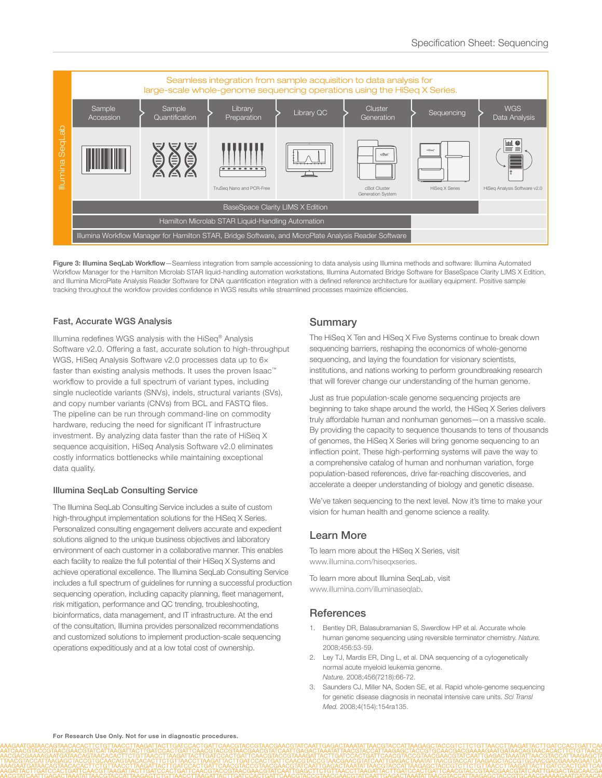

Figure 3: Illumina SeqLab Workflow-Seamless integration from sample accessioning to data analysis using Illumina methods and software: Illumina Automated Workflow Manager for the Hamilton Microlab STAR liquid-handling automation workstations, Illumina Automated Bridge Software for BaseSpace Clarity LIMS X Edition, and Illumina MicroPlate Analysis Reader Software for DNA quantification integration with a defined reference architecture for auxiliary equipment. Positive sample tracking throughout the workflow provides confidence in WGS results while streamlined processes maximize efficiencies.

### Fast, Accurate WGS Analysis

Illumina redefines WGS analysis with the HiSeq® Analysis Software v2.0. Offering a fast, accurate solution to high-throughput WGS, HiSeq Analysis Software v2.0 processes data up to 6x faster than existing analysis methods. It uses the proven Isaac™ workflow to provide a full spectrum of variant types, including single nucleotide variants (SNVs), indels, structural variants (SVs), and copy number variants (CNVs) from BCL and FASTQ files. The pipeline can be run through command-line on commodity hardware, reducing the need for significant IT infrastructure investment. By analyzing data faster than the rate of HiSeq X sequence acquisition, HiSeq Analysis Software v2.0 eliminates costly informatics bottlenecks while maintaining exceptional data quality.

#### Illumina SeqLab Consulting Service

The Illumina SeqLab Consulting Service includes a suite of custom high-throughput implementation solutions for the HiSeq X Series. Personalized consulting engagement delivers accurate and expedient solutions aligned to the unique business objectives and laboratory environment of each customer in a collaborative manner. This enables each facility to realize the full potential of their HiSeq X Systems and achieve operational excellence. The Illumina SeqLab Consulting Service includes a full spectrum of guidelines for running a successful production sequencing operation, including capacity planning, fleet management, risk mitigation, performance and QC trending, troubleshooting, bioinformatics, data management, and IT infrastructure. At the end of the consultation, Illumina provides personalized recommendations and customized solutions to implement production-scale sequencing operations expeditiously and at a low total cost of ownership.

## **Summary**

The HiSeq X Ten and HiSeq X Five Systems continue to break down sequencing barriers, reshaping the economics of whole-genome sequencing, and laying the foundation for visionary scientists, institutions, and nations working to perform groundbreaking research that will forever change our understanding of the human genome.

Just as true population-scale genome sequencing projects are beginning to take shape around the world, the HiSeq X Series delivers truly affordable human and nonhuman genomes—on a massive scale. By providing the capacity to sequence thousands to tens of thousands of genomes, the HiSeq X Series will bring genome sequencing to an inflection point. These high-performing systems will pave the way to a comprehensive catalog of human and nonhuman variation, forge population-based references, drive far-reaching discoveries, and accelerate a deeper understanding of biology and genetic disease.

We've taken sequencing to the next level. Now it's time to make your vision for human health and genome science a reality.

## Learn More

To learn more about the HiSeq X Series, visit www.illumina.com/hiseqxseries.

To learn more about Illumina SeqLab, visit www.illumina.com/illuminaseqlab.

## **References**

- <span id="page-2-0"></span>1. Bentley DR, Balasubramanian S, Swerdlow HP et al. Accurate whole human genome sequencing using reversible terminator chemistry. *Nature.* 2008;456:53-59.
- 2. Ley TJ, Mardis ER, Ding L, et al. DNA sequencing of a cytogenetically normal acute myeloid leukemia genome. *Nature.* 2008;456(7218):66-72.
- <span id="page-2-1"></span>3. Saunders CJ, Miller NA, Soden SE, et al. Rapid whole-genome sequencing for genetic disease diagnosis in neonatal intensive care units. *Sci Transl Med.* 2008;4(154):154ra135.